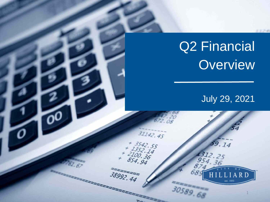# Q2 Financial **Overview**

 $31142.45$ 

72222

+ 3542, 55<br>+ 1352, 14<br>2100, 36<br>854, 94

 $38992.44$ 

# July 29, 2021

59.14

1312. 954

Οð

30589.68

1

RD

**CROSS**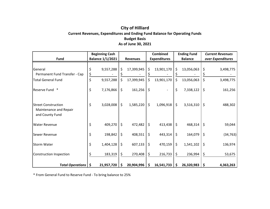## **City of Hilliard Current Revenues, Expenditures and Ending Fund Balance for Operating Funds Budget Basis As of June 30, 2021**

|                                                                         | <b>Beginning Cash</b> |                         |         |                 |    | <b>Combined</b>     |         | <b>Ending Fund</b> | <b>Current Revenues</b> |           |
|-------------------------------------------------------------------------|-----------------------|-------------------------|---------|-----------------|----|---------------------|---------|--------------------|-------------------------|-----------|
| <b>Fund</b>                                                             |                       | <b>Balance 1/1/2021</b> |         | <b>Revenues</b> |    | <b>Expenditures</b> |         | <b>Balance</b>     | over Expenditures       |           |
| General<br>Permanent Fund Transfer - Cap                                | \$<br>\$              | 9,557,288               | \$      | 17,399,945      | \$ | 13,901,170          | \$      | 13,056,063         | \$                      | 3,498,775 |
| <b>Total General Fund</b>                                               | \$                    | 9,557,288               | \$      | 17,399,945      | \$ | 13,901,170          | \$      | 13,056,063         | \$                      | 3,498,775 |
| Reserve Fund *                                                          | \$                    | 7,176,866               | \$      | 161,256         | \$ |                     | \$      | 7,338,122          | \$                      | 161,256   |
| <b>Street Construction</b><br>Maintenance and Repair<br>and County Fund | \$                    | 3,028,008               | \$      | 1,585,220       | \$ | 1,096,918           | $\zeta$ | 3,516,310          | $\zeta$                 | 488,302   |
| <b>Water Revenue</b>                                                    | \$                    | 409,270                 | $\zeta$ | 472,482         | \$ | 413,438             | $\zeta$ | 468,314            | \$                      | 59,044    |
| Sewer Revenue                                                           | \$                    | 198,842                 | \$      | 408,551         | \$ | 443,314             | $\zeta$ | 164,079            | $\zeta$                 | (34, 763) |
| <b>Storm Water</b>                                                      | \$                    | 1,404,128               | \$      | 607,133         | \$ | 470,159             | $\zeta$ | 1,541,102          | \$                      | 136,974   |
| Construction Inspection                                                 |                       | 183,319                 | \$      | 270,408         | \$ | 216,733             | \$      | 236,994            | \$                      | 53,675    |
| <b>Total Operations</b>                                                 | \$                    | 21,957,720              | \$.     | 20,904,996      | S  | 16,541,733          | \$      | 26,320,983         | -\$                     | 4,363,263 |

\* From General Fund to Reserve Fund - To bring balance to 25%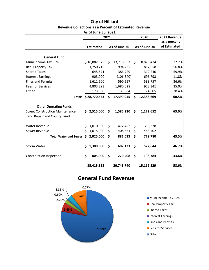#### **City of Hilliard Revenue Collections as a Percent of Estimated Revenue As of June 30, 2021**

| AS OF JUITE JU, LULL                   |     |                  |      |               |               |            |              |  |  |  |
|----------------------------------------|-----|------------------|------|---------------|---------------|------------|--------------|--|--|--|
|                                        |     |                  | 2021 |               |               | 2020       | 2021 Revenue |  |  |  |
|                                        |     |                  |      |               |               |            | as a percent |  |  |  |
|                                        |     | <b>Estimated</b> |      | As of June 30 | As of June 30 |            | of Estimated |  |  |  |
|                                        |     |                  |      |               |               |            |              |  |  |  |
| <b>General Fund</b>                    |     |                  |      |               |               |            |              |  |  |  |
| Muni Income Tax 65%                    |     | \$18,882,873     | \$   | 13,718,963    | \$            | 8,876,474  | 72.7%        |  |  |  |
| Real Property Tax                      |     | 1,750,716        |      | 994,425       |               | 817,058    | 56.8%        |  |  |  |
| <b>Shared Taxes</b>                    |     | 645,571          |      | 386,729       |               | 312,240    | 59.9%        |  |  |  |
| <b>Interest Earnings</b>               |     | 903,000          |      | (106, 340)    |               | 696,793    | $-11.8%$     |  |  |  |
| <b>Fines and Permits</b>               |     | 1,611,500        |      | 590,557       |               | 588,757    | 36.6%        |  |  |  |
| <b>Fees for Services</b>               |     | 4,803,893        |      | 1,680,028     |               | 923,341    | 35.0%        |  |  |  |
| Other                                  |     | 173,000          |      | 135,584       |               | 174,005    | 78.4%        |  |  |  |
| <b>Totals</b>                          |     | \$28,770,553     | \$   | 17,399,945    | \$            | 12,388,669 | 60.5%        |  |  |  |
|                                        |     |                  |      |               |               |            |              |  |  |  |
| <b>Other Operating Funds</b>           |     |                  |      |               |               |            |              |  |  |  |
| <b>Street Construction Maintenance</b> | \$. | 2,515,000        | \$   | 1,585,220     | \$            | 1,172,652  | 63.0%        |  |  |  |
| and Repair and County Fund             |     |                  |      |               |               |            |              |  |  |  |
|                                        |     |                  |      |               |               |            |              |  |  |  |
| <b>Water Revenue</b>                   | \$  | 1,010,000        | \$   | 472,482       | \$            | 336,378    |              |  |  |  |
| Sewer Revenue                          | \$  | 1,015,000        | \$   | 408,551       | \$            | 443,402    |              |  |  |  |
| <b>Total Water and Sewer</b>           | \$  | 2,025,000        | \$   | 881,033       | \$            | 779,780    | 43.5%        |  |  |  |
| Storm Water                            | \$  | 1,300,000        | \$   | 607,133       | \$            | 572,644    | 46.7%        |  |  |  |
|                                        |     |                  |      |               |               |            |              |  |  |  |
| <b>Construction Inspection</b>         | \$  | 805,000          | \$   | 270,408       | \$            | 198,784    | 33.6%        |  |  |  |
|                                        |     |                  |      |               |               |            |              |  |  |  |
|                                        |     | 35,415,553       |      | 20,743,740    |               | 15,112,529 | 58.6%        |  |  |  |

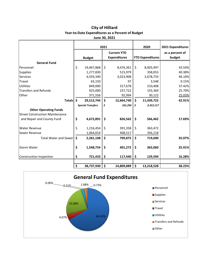#### **City of Hilliard Year-to-Date Expenditures as a Percent of Budget June 30, 2021**

|                                        | 2021               |                          |    |                                           | 2020 |                         | 2021 Expenditures         |
|----------------------------------------|--------------------|--------------------------|----|-------------------------------------------|------|-------------------------|---------------------------|
|                                        |                    | <b>Budget</b>            |    | <b>Current YTD</b><br><b>Expenditures</b> |      | <b>YTD Expenditures</b> | as a percent of<br>budget |
| <b>General Fund</b>                    |                    |                          |    |                                           |      |                         |                           |
| Personnel                              | \$                 | 19,467,868               | \$ | 8,476,361                                 | \$   | 8,003,497               | 43.54%                    |
| <b>Supplies</b>                        |                    | 1,277,830                |    | 515,979                                   |      | 358,053                 | 40.38%                    |
| Services                               |                    | 6,559,340                |    | 3,023,908                                 |      | 2,678,733               | 46.10%                    |
| Travel                                 |                    | 63,150                   |    | 97                                        |      | 3,548                   | 0.15%                     |
| <b>Utilities</b>                       |                    | 849,000                  |    | 317,678                                   |      | 210,408                 | 37.42%                    |
| <b>Transfers and Refunds</b>           |                    | 925,000                  |    | 237,722                                   |      | 155,360                 | 25.70%                    |
| Other                                  |                    | 371,556                  |    | 92,994                                    |      | 30,122                  | 25.03%                    |
| <b>Totals</b>                          | $\mathsf{\hat{S}}$ | 29,513,744               | \$ | 12,664,740                                | \$   | 11,439,722              | 42.91%                    |
|                                        |                    | <b>Special Transfers</b> | \$ | 161,256                                   | Ś    | 2,412,117               |                           |
| <b>Other Operating Funds</b>           |                    |                          |    |                                           |      |                         |                           |
| <b>Street Construction Maintenance</b> |                    |                          |    |                                           |      |                         |                           |
| and Repair and County Fund             | \$                 | 4,672,891                | \$ | 826,562                                   | \$   | 566,462                 | 17.69%                    |
| <b>Water Revenue</b>                   | \$                 | 1,216,454                | \$ | 391,358                                   | \$   | 363,472                 |                           |
| Sewer Revenue                          |                    | 1,064,654                |    | 408,517                                   |      | 356,218                 |                           |
| <b>Total Water and Sewer</b>           | \$                 | 2,281,108                | \$ | 799,875                                   | \$   | 719,690                 | 35.07%                    |
| <b>Storm Water</b>                     | \$                 | 1,548,754                | \$ | 401,272                                   | \$   | 363,060                 | 25.91%                    |
| Construction Inspection                | \$                 | 721,433                  | \$ | 117,440                                   | \$   | 129,594                 | 16.28%                    |
|                                        | \$                 | 38,737,930               | \$ | 14,809,889                                | \$   | 13,218,528              | 38.23%                    |

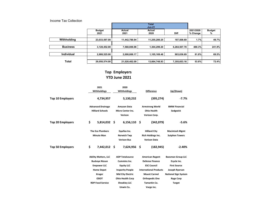| Income Tax Collection |               |               |               |              |           |               |
|-----------------------|---------------|---------------|---------------|--------------|-----------|---------------|
|                       |               |               | <b>Total</b>  |              |           |               |
|                       |               |               | <b>Jun-21</b> |              |           |               |
|                       | <b>Budget</b> | Actual        | <b>Actual</b> |              | 2021/2020 | <b>Budget</b> |
|                       | 2021          | 2021          | 2020          | <b>Diff</b>  | % Change  | %             |
|                       |               |               |               |              |           |               |
| Withholding           | 23,033,597.00 | 11,442,788.94 | 11,255,280.25 | 187,508.69   | 1.7%      | 49.7%         |
|                       |               |               |               |              |           |               |
| <b>Business</b>       | 3,128,452.00  | 7,568,806.98  | 1,304,299.20  | 6,264,507.78 | 480.3%    | 241.9%        |
|                       |               |               |               |              |           |               |
| <b>Individual</b>     | 2,888,525.00  | 2,008,806.17  | 1,105,169.48  | 903,636.69   | 81.8%     | 69.5%         |
|                       |               |               |               |              |           |               |
| <b>Total</b>          | 29,050,574.00 | 21,020,402.09 | 13,664,748.93 | 7,355,653.16 | 53.8%     | 72.4%         |

## **Top Employers YTD June 2021**

| <b>Top 10 Employers</b> | 2021<br><b>Withholdings</b><br>4,734,957<br><b>Advanced Drainage</b><br><b>Hilliard Schools</b>                                                     |                                                                                                                                                                                          | 2020<br>Withholdings<br>5,130,232<br><b>Amazon Data</b><br><b>Micro Center Inc.</b> |                                                                                                                                                                                              | <b>Difference</b><br>(395, 274)<br><b>Armstrong World</b><br><b>Ohio Health</b> | Up/(Down)<br>-7.7%<br><b>BMW Financial</b>                                                                                                           |  |
|-------------------------|-----------------------------------------------------------------------------------------------------------------------------------------------------|------------------------------------------------------------------------------------------------------------------------------------------------------------------------------------------|-------------------------------------------------------------------------------------|----------------------------------------------------------------------------------------------------------------------------------------------------------------------------------------------|---------------------------------------------------------------------------------|------------------------------------------------------------------------------------------------------------------------------------------------------|--|
|                         |                                                                                                                                                     |                                                                                                                                                                                          | Verizon                                                                             |                                                                                                                                                                                              | Verizon Corp.                                                                   | Sedgwick                                                                                                                                             |  |
| <b>Top 20 Employers</b> | \$<br>5,814,032 \$                                                                                                                                  |                                                                                                                                                                                          | $6,156,110$ \$                                                                      |                                                                                                                                                                                              | (342,079)                                                                       | -5.6%                                                                                                                                                |  |
|                         | <b>The Eco Plumbers</b><br><b>Minute Man</b>                                                                                                        | Equifax Inc.<br><b>Norwich Twp</b><br><b>Verizon Bus</b>                                                                                                                                 |                                                                                     | <b>Hilliard City</b><br>Rich Holdings Inc.<br><b>Verizon Data</b>                                                                                                                            |                                                                                 | <b>Macintosh Mgmt</b><br><b>Sutphen Towers</b>                                                                                                       |  |
| <b>Top 50 Employers</b> | \$<br>7,442,012 \$                                                                                                                                  |                                                                                                                                                                                          | 7,624,956 \$                                                                        |                                                                                                                                                                                              | (182, 945)                                                                      | $-2.40%$                                                                                                                                             |  |
|                         | <b>Ability Matters, LLC</b><br><b>Buckeye Nissan</b><br><b>Empower LLC</b><br><b>Home Depot</b><br>Kroger<br><b>ODOT</b><br><b>RDP Food Service</b> | <b>ADP Totalsource</b><br><b>Cummins Inc.</b><br><b>Equity LLC</b><br><b>Insperity People</b><br><b>Mid City Electric</b><br><b>Ohio Health Corp</b><br><b>Sheakley LLC</b><br>Unwin Co. |                                                                                     | <b>American Regent</b><br><b>Defense Finance</b><br><b>ESC Council</b><br><b>International Products</b><br><b>Mount Carmel</b><br><b>Orthopedic One</b><br><b>Tamarkin Co.</b><br>Vargo inc. |                                                                                 | <b>Baesman Group LLC</b><br>Ecycle Inc.<br><b>First Source</b><br>Joseph Ryerson<br><b>National Sign System</b><br><b>Rage Corp</b><br><b>Target</b> |  |